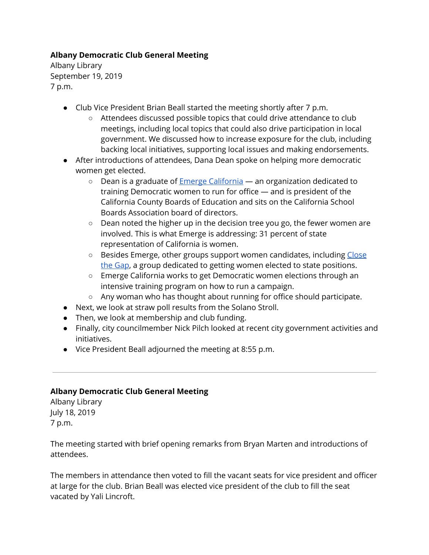## **Albany Democratic Club General Meeting**

Albany Library September 19, 2019 7 p.m.

- Club Vice President Brian Beall started the meeting shortly after 7 p.m.
	- Attendees discussed possible topics that could drive attendance to club meetings, including local topics that could also drive participation in local government. We discussed how to increase exposure for the club, including backing local initiatives, supporting local issues and making endorsements.
- After introductions of attendees, Dana Dean spoke on helping more democratic women get elected.
	- Dean is a graduate of **Emerge [California](https://ca.emergeamerica.org/)** an organization dedicated to training Democratic women to run for office — and is president of the California County Boards of Education and sits on the California School Boards Association board of directors.
	- Dean noted the higher up in the decision tree you go, the fewer women are involved. This is what Emerge is addressing: 31 percent of state representation of California is women.
	- Besides Emerge, other groups support women candidates, including [Close](https://closethegapca.org/) the [Gap](https://closethegapca.org/), a group dedicated to getting women elected to state positions.
	- Emerge California works to get Democratic women elections through an intensive training program on how to run a campaign.
	- Any woman who has thought about running for office should participate.
- Next, we look at straw poll results from the Solano Stroll.
- Then, we look at membership and club funding.
- Finally, city councilmember Nick Pilch looked at recent city government activities and initiatives.
- Vice President Beall adjourned the meeting at 8:55 p.m.

#### **Albany Democratic Club General Meeting**

Albany Library July 18, 2019 7 p.m.

The meeting started with brief opening remarks from Bryan Marten and introductions of attendees.

The members in attendance then voted to fill the vacant seats for vice president and officer at large for the club. Brian Beall was elected vice president of the club to fill the seat vacated by Yali Lincroft.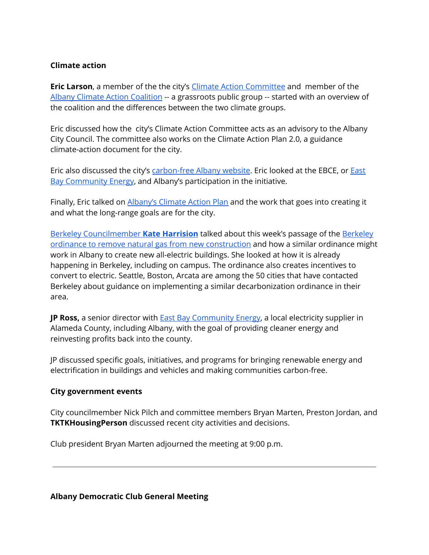#### **Climate action**

**Eric Larson**, a member of the the city's Climate Action [Committee](https://www.albanyca.org/government/boards-commissions-committees/sustainability-committee) and member of the Albany Climate Action [Coalition](https://www.albanyclimateactioncoalition.com/) -- a grassroots public group -- started with an overview of the coalition and the differences between the two climate groups.

Eric discussed how the city's Climate Action Committee acts as an advisory to the Albany City Council. The committee also works on the Climate Action Plan 2.0, a guidance climate-action document for the city.

Eric also discussed the city's [carbon-free](https://www.carbonfreealbany.org/) Albany website. Eric looked at the EBCE, or **[East](https://ebce.org/)** Bay [Community](https://ebce.org/) Energy, and Albany's participation in the initiative.

Finally, Eric talked on [Albany's](https://www.albanyca.org/departments/sustainability/climate-action-plan) Climate Action Plan and the work that goes into creating it and what the long-range goals are for the city.

Berkeley [Councilmember](https://www.cityofberkeley.info/citycouncildistrict4/) **Kate [Harrision](https://www.cityofberkeley.info/citycouncildistrict4/)** talked about this week's passage of the [Berkeley](https://www.berkeleyside.com/2019/07/17/natural-gas-pipes-now-banned-in-new-berkeley-buildings-with-some-exceptions) ordinance to remove natural gas from new [construction](https://www.berkeleyside.com/2019/07/17/natural-gas-pipes-now-banned-in-new-berkeley-buildings-with-some-exceptions) and how a similar ordinance might work in Albany to create new all-electric buildings. She looked at how it is already happening in Berkeley, including on campus. The ordinance also creates incentives to convert to electric. Seattle, Boston, Arcata are among the 50 cities that have contacted Berkeley about guidance on implementing a similar decarbonization ordinance in their area.

**JP Ross,** a senior director with East Bay [Community](https://ebce.org/) Energy, a local electricity supplier in Alameda County, including Albany, with the goal of providing cleaner energy and reinvesting profits back into the county.

JP discussed specific goals, initiatives, and programs for bringing renewable energy and electrification in buildings and vehicles and making communities carbon-free.

#### **City government events**

City councilmember Nick Pilch and committee members Bryan Marten, Preston Jordan, and **TKTKHousingPerson** discussed recent city activities and decisions.

Club president Bryan Marten adjourned the meeting at 9:00 p.m.

**Albany Democratic Club General Meeting**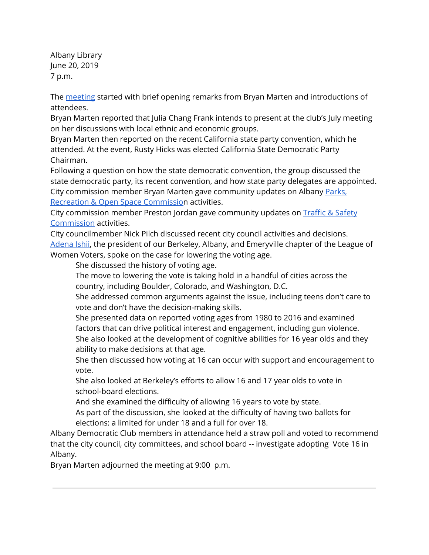Albany Library June 20, 2019 7 p.m.

The [meeting](https://www.facebook.com/Albany-California-Democratic-Club-Events-196127101003749/) started with brief opening remarks from Bryan Marten and introductions of attendees.

Bryan Marten reported that Julia Chang Frank intends to present at the club's July meeting on her discussions with local ethnic and economic groups.

Bryan Marten then reported on the recent California state party convention, which he attended. At the event, Rusty Hicks was elected California State Democratic Party Chairman.

Following a question on how the state democratic convention, the group discussed the state democratic party, its recent convention, and how state party delegates are appointed. City commission member Bryan Marten gave community updates on Albany [Parks,](https://www.albanyca.org/government/boards-commissions-committees/parks-recreation-commission) Recreation & Open Space [Commission](https://www.albanyca.org/government/boards-commissions-committees/parks-recreation-commission) activities.

City commission member Preston Jordan gave community updates on [Traffic](https://www.albanyca.org/government/boards-commissions-committees/traffic-safety-commission) & Safety [Commission](https://www.albanyca.org/government/boards-commissions-committees/traffic-safety-commission) activities.

City councilmember Nick Pilch discussed recent city council activities and decisions. [Adena](https://www.berkeleyside.com/2018/10/23/first-woman-of-color-to-be-league-of-women-voters-president-marks-a-series-of-firsts) Ishii, the president of our Berkeley, Albany, and Emeryville chapter of the League of Women Voters, spoke on the case for lowering the voting age.

She discussed the history of voting age.

The move to lowering the vote is taking hold in a handful of cities across the country, including Boulder, Colorado, and Washington, D.C.

She addressed common arguments against the issue, including teens don't care to vote and don't have the decision-making skills.

She presented data on reported voting ages from 1980 to 2016 and examined factors that can drive political interest and engagement, including gun violence. She also looked at the development of cognitive abilities for 16 year olds and they ability to make decisions at that age.

She then discussed how voting at 16 can occur with support and encouragement to vote.

She also looked at Berkeley's efforts to allow 16 and 17 year olds to vote in school-board elections.

And she examined the difficulty of allowing 16 years to vote by state.

As part of the discussion, she looked at the difficulty of having two ballots for elections: a limited for under 18 and a full for over 18.

Albany Democratic Club members in attendance held a straw poll and voted to recommend that the city council, city committees, and school board -- investigate adopting Vote 16 in Albany.

Bryan Marten adjourned the meeting at 9:00 p.m.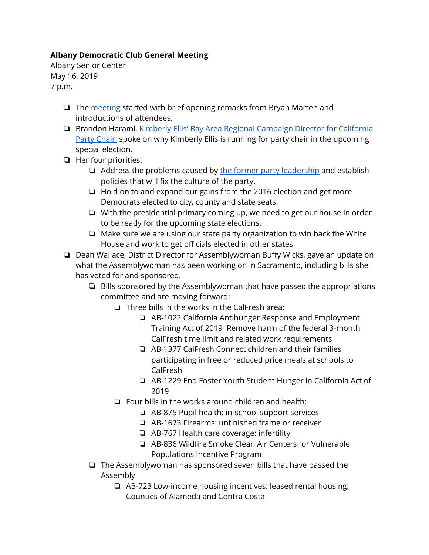# **Albany Democratic Club General Meeting**

Albany Senior Center May 16, 2019 7 p.m.

- ❏ The [meeting](https://www.facebook.com/Albany-California-Democratic-Club-Events-196127101003749/) started with brief opening remarks from Bryan Marten and introductions of attendees.
- ❏ Brandon Harami, Kimberly Ellis' Bay Area Regional [Campaign](https://www.voteforkimberly.org/) Director for California Party [Chair,](https://www.voteforkimberly.org/) spoke on why Kimberly Ellis is running for party chair in the upcoming special election.
- ❏ Her four priorities:
	- $\Box$  Address the problems caused by the former party [leadership](https://www.latimes.com/politics/essential/la-pol-ca-essential-politics-may-2018-california-democratic-party-chairman-1543170712-htmlstory.html) and establish policies that will fix the culture of the party.
	- ❏ Hold on to and expand our gains from the 2016 election and get more Democrats elected to city, county and state seats.
	- ❏ With the presidential primary coming up, we need to get our house in order to be ready for the upcoming state elections.
	- ❏ Make sure we are using our state party organization to win back the White House and work to get officials elected in other states.
- ❏ Dean Wallace, District Director for Assemblywoman Buffy Wicks, gave an update on what the Assemblywoman has been working on in Sacramento, including bills she has voted for and sponsored.
	- ❏ Bills sponsored by the Assemblywoman that have passed the appropriations committee and are moving forward:
		- ❏ Three bills in the works in the CalFresh area:
			- ❏ AB-1022 California Antihunger Response and Employment Training Act of 2019 Remove harm of the federal 3-month CalFresh time limit and related work requirements
			- ❏ AB-1377 CalFresh Connect children and their families participating in free or reduced price meals at schools to CalFresh
			- ❏ AB-1229 End Foster Youth Student Hunger in California Act of 2019
		- ❏ Four bills in the works around children and health:
			- ❏ AB-875 Pupil health: in-school support services
			- ❏ AB-1673 Firearms: unfinished frame or receiver
			- ❏ AB-767 Health care coverage: infertility
			- ❏ AB-836 Wildfire Smoke Clean Air Centers for Vulnerable Populations Incentive Program
	- ❏ The Assemblywoman has sponsored seven bills that have passed the Assembly
		- ❏ AB-723 Low-income housing incentives: leased rental housing: Counties of Alameda and Contra Costa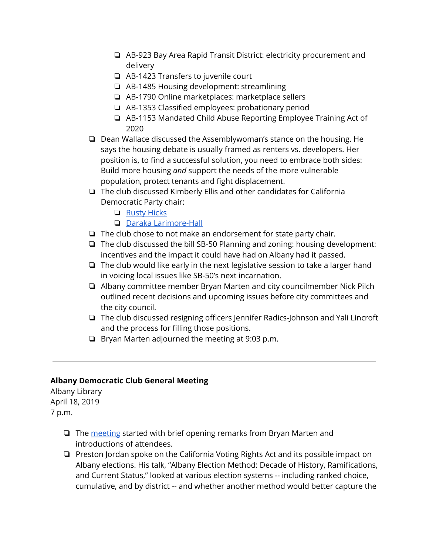- ❏ AB-923 Bay Area Rapid Transit District: electricity procurement and delivery
- ❏ AB-1423 Transfers to juvenile court
- ❏ AB-1485 Housing development: streamlining
- ❏ AB-1790 Online marketplaces: marketplace sellers
- ❏ AB-1353 Classified employees: probationary period
- ❏ AB-1153 Mandated Child Abuse Reporting Employee Training Act of 2020
- ❏ Dean Wallace discussed the Assemblywoman's stance on the housing. He says the housing debate is usually framed as renters vs. developers. Her position is, to find a successful solution, you need to embrace both sides: Build more housing *and* support the needs of the more vulnerable population, protect tenants and fight displacement.
- ❏ The club discussed Kimberly Ellis and other candidates for California Democratic Party chair:
	- ❏ [Rusty](https://rustyhicks.org/) Hicks
	- ❏ Daraka [Larimore-Hall](https://www.darakaforcdpchair.com/)
- ❏ The club chose to not make an endorsement for state party chair.
- ❏ The club discussed the bill SB-50 Planning and zoning: housing development: incentives and the impact it could have had on Albany had it passed.
- ❏ The club would like early in the next legislative session to take a larger hand in voicing local issues like SB-50's next incarnation.
- ❏ Albany committee member Bryan Marten and city councilmember Nick Pilch outlined recent decisions and upcoming issues before city committees and the city council.
- ❏ The club discussed resigning officers Jennifer Radics-Johnson and Yali Lincroft and the process for filling those positions.
- ❏ Bryan Marten adjourned the meeting at 9:03 p.m.

## **Albany Democratic Club General Meeting**

Albany Library April 18, 2019 7 p.m.

- ❏ The [meeting](https://www.facebook.com/events/2693130930760583/) started with brief opening remarks from Bryan Marten and introductions of attendees.
- ❏ Preston Jordan spoke on the California Voting Rights Act and its possible impact on Albany elections. His talk, "Albany Election Method: Decade of History, Ramifications, and Current Status," looked at various election systems -- including ranked choice, cumulative, and by district -- and whether another method would better capture the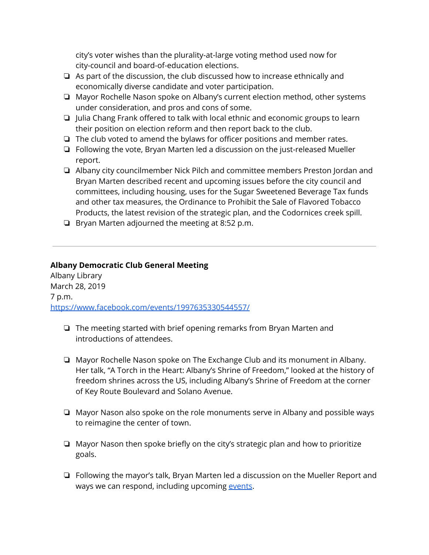city's voter wishes than the plurality-at-large voting method used now for city-council and board-of-education elections.

- ❏ As part of the discussion, the club discussed how to increase ethnically and economically diverse candidate and voter participation.
- ❏ Mayor Rochelle Nason spoke on Albany's current election method, other systems under consideration, and pros and cons of some.
- ❏ Julia Chang Frank offered to talk with local ethnic and economic groups to learn their position on election reform and then report back to the club.
- ❏ The club voted to amend the bylaws for officer positions and member rates.
- ❏ Following the vote, Bryan Marten led a discussion on the just-released Mueller report.
- ❏ Albany city councilmember Nick Pilch and committee members Preston Jordan and Bryan Marten described recent and upcoming issues before the city council and committees, including housing, uses for the Sugar Sweetened Beverage Tax funds and other tax measures, the Ordinance to Prohibit the Sale of Flavored Tobacco Products, the latest revision of the strategic plan, and the Codornices creek spill.
- ❏ Bryan Marten adjourned the meeting at 8:52 p.m.

### **Albany Democratic Club General Meeting**

Albany Library March 28, 2019 7 p.m. <https://www.facebook.com/events/1997635330544557/>

- ❏ The meeting started with brief opening remarks from Bryan Marten and introductions of attendees.
- ❏ Mayor Rochelle Nason spoke on The Exchange Club and its monument in Albany. Her talk, "A Torch in the Heart: Albany's Shrine of Freedom," looked at the history of freedom shrines across the US, including Albany's Shrine of Freedom at the corner of Key Route Boulevard and Solano Avenue.
- ❏ Mayor Nason also spoke on the role monuments serve in Albany and possible ways to reimagine the center of town.
- ❏ Mayor Nason then spoke briefly on the city's strategic plan and how to prioritize goals.
- ❏ Following the mayor's talk, Bryan Marten led a discussion on the Mueller Report and ways we can respond, including upcoming [events](https://www.trumpisnotabovethelaw.org/).